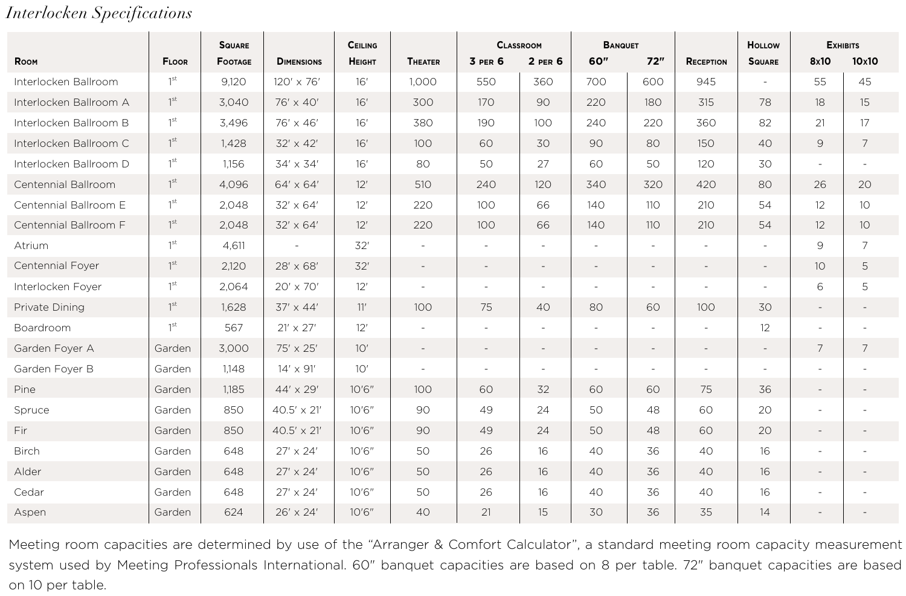## *Interlocken Specifications*

|                        |                 | <b>SQUARE</b>  |                    | CEILING |                          | <b>CLASSROOM</b>         |                          | <b>BANQUET</b>           |                          |           | HOLLOW<br><b>EXHIBITS</b> |                          |                          |
|------------------------|-----------------|----------------|--------------------|---------|--------------------------|--------------------------|--------------------------|--------------------------|--------------------------|-----------|---------------------------|--------------------------|--------------------------|
| ROOM                   | <b>FLOOR</b>    | <b>FOOTAGE</b> | <b>DIMENSIONS</b>  | HEIGHT  | <b>THEATER</b>           | 3 PER 6                  | $2$ PER $6$              | 60"                      | 72"                      | RECEPTION | <b>SQUARE</b>             | 8x10                     | 10x10                    |
| Interlocken Ballroom   | 1 <sup>st</sup> | 9,120          | 120' x 76'         | 16'     | 1,000                    | 550                      | 360                      | 700                      | 600                      | 945       |                           | 55                       | 45                       |
| Interlocken Ballroom A | 1 <sup>st</sup> | 3.040          | 76' x 40'          | 16'     | 300                      | 170                      | 90                       | 220                      | 180                      | 315       | 78                        | 18                       | 15                       |
| Interlocken Ballroom B | 1 <sup>st</sup> | 3.496          | 76' x 46'          | 16'     | 380                      | 190                      | 100                      | 240                      | 220                      | 360       | 82                        | 21                       | 17                       |
| Interlocken Ballroom C | 1 <sup>st</sup> | 1,428          | $32' \times 42'$   | 16'     | 100                      | 60                       | 30                       | 90                       | 80                       | 150       | 40                        | 9                        | $\overline{7}$           |
| Interlocken Ballroom D | 1 <sup>st</sup> | 1,156          | 34' x 34'          | 16'     | 80                       | 50                       | 27                       | 60                       | 50                       | 120       | 30                        |                          |                          |
| Centennial Ballroom    | 1 <sup>st</sup> | 4.096          | $64' \times 64'$   | 12'     | 510                      | 240                      | 120                      | 340                      | 320                      | 420       | 80                        | 26                       | 20                       |
| Centennial Ballroom E  | 1 <sup>st</sup> | 2.048          | $32' \times 64'$   | 12'     | 220                      | 100                      | 66                       | 140                      | 110                      | 210       | 54                        | 12                       | 10 <sup>°</sup>          |
| Centennial Ballroom F  | 1 <sup>st</sup> | 2.048          | $32' \times 64'$   | 12'     | 220                      | 100                      | 66                       | 140                      | 110                      | 210       | 54                        | 12                       | 10 <sup>2</sup>          |
| Atrium                 | 1 <sup>st</sup> | 4,611          | ٠                  | 32'     | ٠                        | $\sim$                   | ٠                        | ×                        | ٠                        |           | ٠                         | 9                        | $\overline{7}$           |
| Centennial Foyer       | 1 <sup>st</sup> | 2,120          | 28' x 68'          | 32'     | $\overline{\phantom{a}}$ | $\overline{a}$           | ۰                        | $\overline{a}$           | $\sim$                   |           | $\overline{a}$            | 10                       | 5                        |
| Interlocken Foyer      | 1 <sup>st</sup> | 2.064          | 20' x 70'          | 12'     | ٠                        | $\overline{\phantom{a}}$ | ٠                        |                          | $\overline{\phantom{a}}$ |           |                           | 6                        | 5                        |
| Private Dining         | $1^{\rm st}$    | 1.628          | $37' \times 44'$   | 11'     | 100                      | 75                       | 40                       | 80                       | 60                       | 100       | 30                        | $\overline{\phantom{a}}$ |                          |
| Boardroom              | 1 <sup>st</sup> | 567            | $21' \times 27'$   | 12'     |                          | $\overline{\phantom{a}}$ | ٠                        |                          | ٠                        |           | 12                        |                          |                          |
| Garden Foyer A         | Garden          | 3,000          | 75' x 25'          | 10'     | $\sim$                   | $\overline{\phantom{a}}$ | $\overline{\phantom{a}}$ | $\overline{\phantom{a}}$ | $\overline{\phantom{a}}$ |           | $\overline{\phantom{a}}$  | 7                        | 7                        |
| Garden Foyer B         | Garden          | 1.148          | $14' \times 91'$   | 10'     |                          | $\sim$                   | $\overline{\phantom{a}}$ |                          | ٠                        |           |                           |                          |                          |
| Pine                   | Garden          | 1.185          | $44' \times 29'$   | 10'6''  | 100                      | 60                       | 32                       | 60                       | 60                       | 75        | 36                        | $\overline{\phantom{a}}$ | $\overline{\phantom{a}}$ |
| Spruce                 | Garden          | 850            | $40.5' \times 21'$ | 10'6''  | 90                       | 49                       | 24                       | 50                       | 48                       | 60        | 20                        | ×                        |                          |
| Fir                    | Garden          | 850            | $40.5' \times 21'$ | 10'6''  | 90                       | 49                       | 24                       | 50                       | 48                       | 60        | 20                        | $\blacksquare$           |                          |
| <b>Birch</b>           | Garden          | 648            | $27' \times 24'$   | 10'6''  | 50                       | 26                       | 16                       | 40                       | 36                       | 40        | 16                        | ×,                       |                          |
| Alder                  | Garden          | 648            | 27' x 24'          | 10'6''  | 50                       | 26                       | 16                       | 40                       | 36                       | 40        | 16                        | $\overline{\phantom{a}}$ |                          |
| Cedar                  | Garden          | 648            | $27' \times 24'$   | 10'6''  | 50                       | 26                       | 16                       | 40                       | 36                       | 40        | 16                        | $\sim$                   |                          |
| Aspen                  | Garden          | 624            | 26' x 24'          | 10'6''  | 40                       | 21                       | 15                       | 30                       | 36                       | 35        | 14                        |                          |                          |

Meeting room capacities are determined by use of the "Arranger & Comfort Calculator", a standard meeting room capacity measurement system used by Meeting Professionals International. 60" banquet capacities are based on 8 per table. 72" banquet capacities are based on 10 per table.